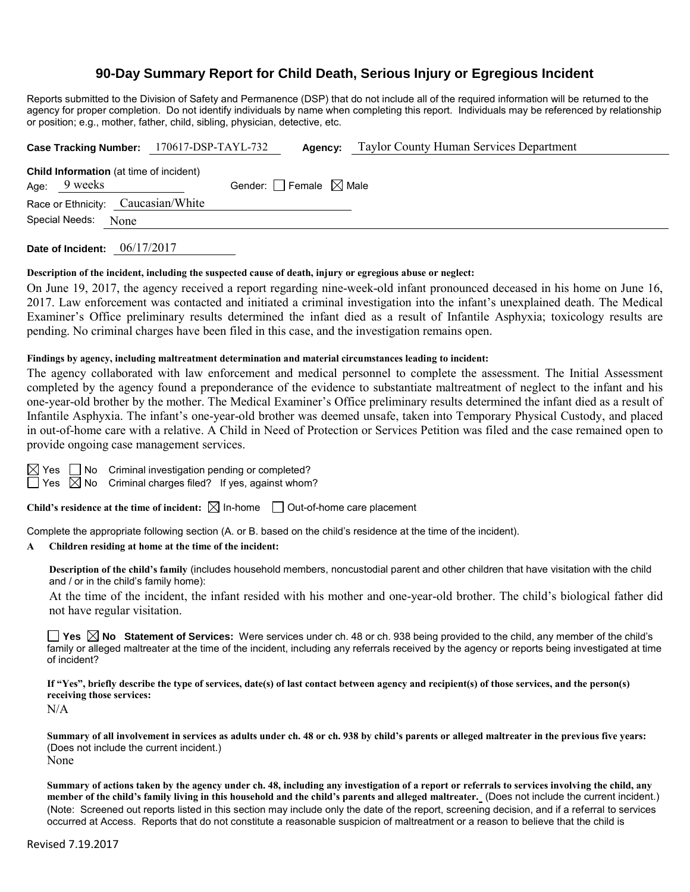# **90-Day Summary Report for Child Death, Serious Injury or Egregious Incident**

Reports submitted to the Division of Safety and Permanence (DSP) that do not include all of the required information will be returned to the agency for proper completion. Do not identify individuals by name when completing this report. Individuals may be referenced by relationship or position; e.g., mother, father, child, sibling, physician, detective, etc.

|                                                                  | Case Tracking Number: 170617-DSP-TAYL-732 |                                 | <b>Agency:</b> Taylor County Human Services Department |
|------------------------------------------------------------------|-------------------------------------------|---------------------------------|--------------------------------------------------------|
| <b>Child Information</b> (at time of incident)<br>Age: $9$ weeks |                                           | Gender: Female $\boxtimes$ Male |                                                        |
| Race or Ethnicity: Caucasian/White                               |                                           |                                 |                                                        |
| Special Needs: None                                              |                                           |                                 |                                                        |
|                                                                  |                                           |                                 |                                                        |

**Date of Incident:** 06/17/2017

#### **Description of the incident, including the suspected cause of death, injury or egregious abuse or neglect:**

On June 19, 2017, the agency received a report regarding nine-week-old infant pronounced deceased in his home on June 16, 2017. Law enforcement was contacted and initiated a criminal investigation into the infant's unexplained death. The Medical Examiner's Office preliminary results determined the infant died as a result of Infantile Asphyxia; toxicology results are pending. No criminal charges have been filed in this case, and the investigation remains open.

#### **Findings by agency, including maltreatment determination and material circumstances leading to incident:**

The agency collaborated with law enforcement and medical personnel to complete the assessment. The Initial Assessment completed by the agency found a preponderance of the evidence to substantiate maltreatment of neglect to the infant and his one-year-old brother by the mother. The Medical Examiner's Office preliminary results determined the infant died as a result of Infantile Asphyxia. The infant's one-year-old brother was deemed unsafe, taken into Temporary Physical Custody, and placed in out-of-home care with a relative. A Child in Need of Protection or Services Petition was filed and the case remained open to provide ongoing case management services.

|  | $\boxtimes$ Yes $\Box$ No Criminal investigation pend |  |
|--|-------------------------------------------------------|--|
|  | $\Box$ Von $\Box$ No. Criminal obergee filed? If      |  |

ding or completed?  $\Box$  Yes  $\Box$  No Criminal charges filed? If yes, against whom?

Child's residence at the time of incident:  $\boxtimes$  In-home  $\Box$  Out-of-home care placement

Complete the appropriate following section (A. or B. based on the child's residence at the time of the incident).

# **A Children residing at home at the time of the incident:**

**Description of the child's family** (includes household members, noncustodial parent and other children that have visitation with the child and / or in the child's family home):

At the time of the incident, the infant resided with his mother and one-year-old brother. The child's biological father did not have regular visitation.

**Yes**  $\boxtimes$  **No** Statement of Services: Were services under ch. 48 or ch. 938 being provided to the child, any member of the child's family or alleged maltreater at the time of the incident, including any referrals received by the agency or reports being investigated at time of incident?

**If "Yes", briefly describe the type of services, date(s) of last contact between agency and recipient(s) of those services, and the person(s) receiving those services:**

N/A

**Summary of all involvement in services as adults under ch. 48 or ch. 938 by child's parents or alleged maltreater in the previous five years:** (Does not include the current incident.) None

**Summary of actions taken by the agency under ch. 48, including any investigation of a report or referrals to services involving the child, any member of the child's family living in this household and the child's parents and alleged maltreater.** (Does not include the current incident.) (Note: Screened out reports listed in this section may include only the date of the report, screening decision, and if a referral to services occurred at Access. Reports that do not constitute a reasonable suspicion of maltreatment or a reason to believe that the child is